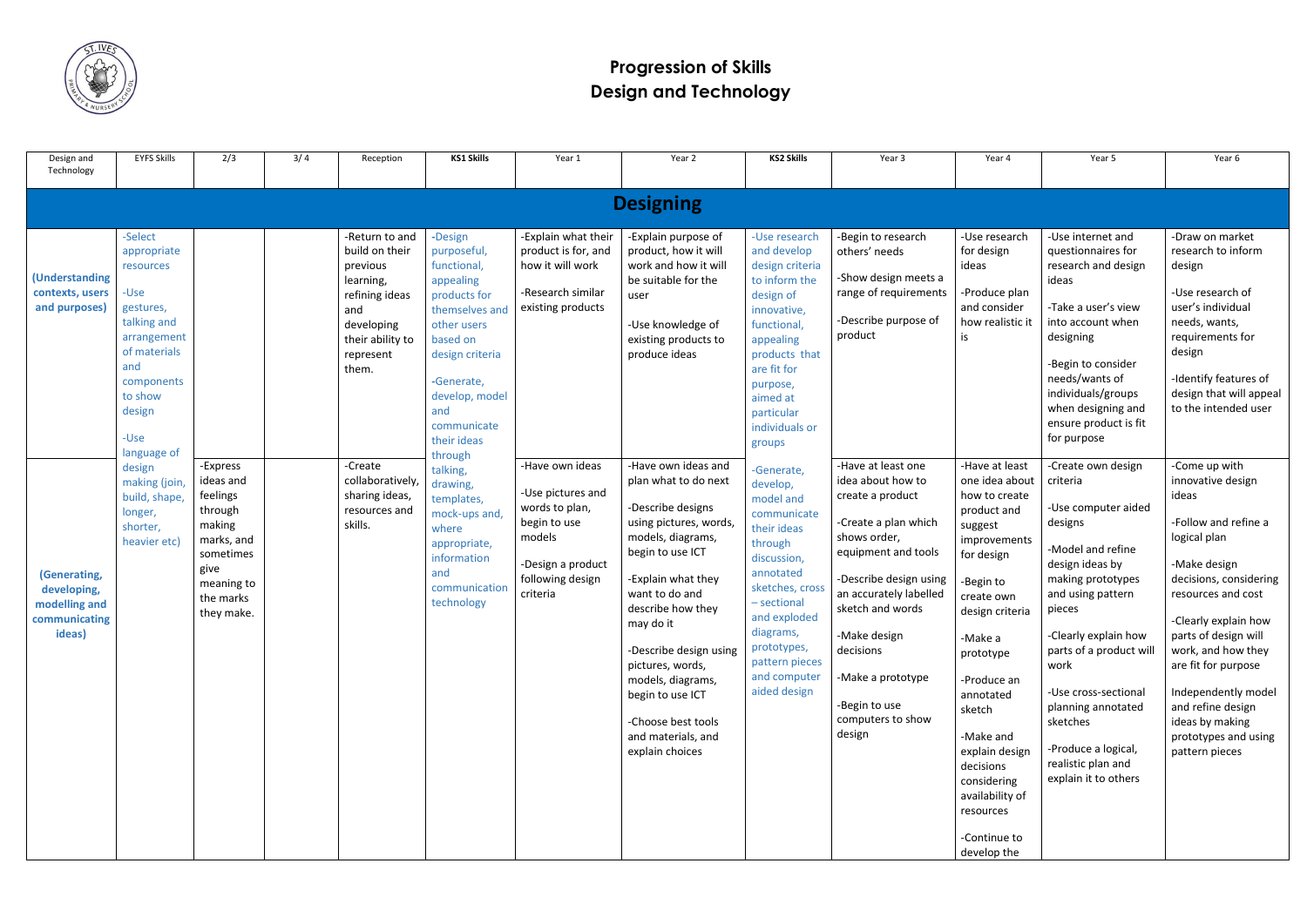

## **Progression of Skills Design and Technology**

| Design and<br>Technology                                                | <b>EYFS Skills</b>                                                                                                                                       | 2/3                                                                                                                                | 3/4 | Reception                                                                                                                                  | <b>KS1 Skills</b>                                                                                                                                                                                     | Year 1                                                                                                                                | Year 2                                                                                                                                                                                                                                                                                                                                                              | <b>KS2 Skills</b>                                                                                                                                                                                                                        | Year 3                                                                                                                                                                                                                                                                                               | Year 4                                                                                                                                                                                                                                                                                                                                          | Year 5                                                                                                                                                                                                                                                                                                                                                 | Year 6                                                                                                                                                                                                                                                                                                                                                    |
|-------------------------------------------------------------------------|----------------------------------------------------------------------------------------------------------------------------------------------------------|------------------------------------------------------------------------------------------------------------------------------------|-----|--------------------------------------------------------------------------------------------------------------------------------------------|-------------------------------------------------------------------------------------------------------------------------------------------------------------------------------------------------------|---------------------------------------------------------------------------------------------------------------------------------------|---------------------------------------------------------------------------------------------------------------------------------------------------------------------------------------------------------------------------------------------------------------------------------------------------------------------------------------------------------------------|------------------------------------------------------------------------------------------------------------------------------------------------------------------------------------------------------------------------------------------|------------------------------------------------------------------------------------------------------------------------------------------------------------------------------------------------------------------------------------------------------------------------------------------------------|-------------------------------------------------------------------------------------------------------------------------------------------------------------------------------------------------------------------------------------------------------------------------------------------------------------------------------------------------|--------------------------------------------------------------------------------------------------------------------------------------------------------------------------------------------------------------------------------------------------------------------------------------------------------------------------------------------------------|-----------------------------------------------------------------------------------------------------------------------------------------------------------------------------------------------------------------------------------------------------------------------------------------------------------------------------------------------------------|
|                                                                         |                                                                                                                                                          |                                                                                                                                    |     |                                                                                                                                            |                                                                                                                                                                                                       |                                                                                                                                       |                                                                                                                                                                                                                                                                                                                                                                     |                                                                                                                                                                                                                                          |                                                                                                                                                                                                                                                                                                      |                                                                                                                                                                                                                                                                                                                                                 |                                                                                                                                                                                                                                                                                                                                                        |                                                                                                                                                                                                                                                                                                                                                           |
| <b>Designing</b>                                                        |                                                                                                                                                          |                                                                                                                                    |     |                                                                                                                                            |                                                                                                                                                                                                       |                                                                                                                                       |                                                                                                                                                                                                                                                                                                                                                                     |                                                                                                                                                                                                                                          |                                                                                                                                                                                                                                                                                                      |                                                                                                                                                                                                                                                                                                                                                 |                                                                                                                                                                                                                                                                                                                                                        |                                                                                                                                                                                                                                                                                                                                                           |
| <b>(Understanding</b><br>contexts, users<br>and purposes)               | -Select<br>appropriate<br>resources<br>-Use<br>gestures,<br>talking and<br>arrangement<br>of materials<br>and<br>components<br>to show<br>design<br>-Use |                                                                                                                                    |     | -Return to and<br>build on their<br>previous<br>learning,<br>refining ideas<br>and<br>developing<br>their ability to<br>represent<br>them. | -Design<br>purposeful,<br>functional<br>appealing<br>products for<br>themselves an<br>other users<br>based on<br>design criteria<br>-Generate,<br>develop, model<br>and<br>communicate<br>their ideas | -Explain what their<br>product is for, and<br>how it will work<br>-Research similar<br>existing products                              | -Explain purpose of<br>product, how it will<br>work and how it will<br>be suitable for the<br>user<br>-Use knowledge of<br>existing products to<br>produce ideas                                                                                                                                                                                                    | -Use research<br>and develop<br>design criteria<br>to inform the<br>design of<br>innovative,<br>functional,<br>appealing<br>products that<br>are fit for<br>purpose,<br>aimed at<br>particular<br>individuals or<br>groups               | -Begin to research<br>others' needs<br>-Show design meets a<br>range of requirements<br>-Describe purpose of<br>product                                                                                                                                                                              | -Use research<br>for design<br>ideas<br>-Produce plan<br>and consider<br>how realistic it<br>is                                                                                                                                                                                                                                                 | -Use internet and<br>questionnaires for<br>research and design<br>ideas<br>-Take a user's view<br>into account when<br>designing<br>-Begin to consider<br>needs/wants of<br>individuals/groups<br>when designing and<br>ensure product is fit<br>for purpose                                                                                           | -Draw on market<br>research to inform<br>design<br>-Use research of<br>user's individual<br>needs, wants,<br>requirements for<br>design<br>-Identify features of<br>design that will appeal<br>to the intended user                                                                                                                                       |
| (Generating,<br>developing,<br>modelling and<br>communicating<br>ideas) | language of<br>design<br>making (join<br>build, shape,<br>longer,<br>shorter,<br>heavier etc                                                             | -Express<br>ideas and<br>feelings<br>through<br>making<br>marks, and<br>sometimes<br>give<br>meaning to<br>the marks<br>they make. |     | -Create<br>collaboratively,<br>sharing ideas,<br>resources and<br>skills.                                                                  | through<br>talking,<br>drawing,<br>templates,<br>mock-ups and,<br>where<br>appropriate,<br>information<br>and<br>communication<br>technology                                                          | -Have own ideas<br>-Use pictures and<br>words to plan,<br>begin to use<br>models<br>-Design a product<br>following design<br>criteria | -Have own ideas and<br>plan what to do next<br>-Describe designs<br>using pictures, words,<br>models, diagrams,<br>begin to use ICT<br>-Explain what they<br>want to do and<br>describe how they<br>may do it<br>-Describe design using<br>pictures, words,<br>models, diagrams,<br>begin to use ICT<br>-Choose best tools<br>and materials, and<br>explain choices | -Generate,<br>develop,<br>model and<br>communicate<br>their ideas<br>through<br>discussion,<br>annotated<br>sketches, cross<br>- sectional<br>and exploded<br>diagrams,<br>prototypes,<br>pattern pieces<br>and computer<br>aided design | -Have at least one<br>idea about how to<br>create a product<br>-Create a plan which<br>shows order,<br>equipment and tools<br>-Describe design using<br>an accurately labelled<br>sketch and words<br>-Make design<br>decisions<br>-Make a prototype<br>-Begin to use<br>computers to show<br>design | -Have at least<br>one idea about<br>how to create<br>product and<br>suggest<br>improvements<br>for design<br>-Begin to<br>create own<br>design criteria<br>-Make a<br>prototype<br>-Produce an<br>annotated<br>sketch<br>-Make and<br>explain design<br>decisions<br>considering<br>availability of<br>resources<br>-Continue to<br>develop the | -Create own design<br>criteria<br>-Use computer aided<br>designs<br>-Model and refine<br>design ideas by<br>making prototypes<br>and using pattern<br>pieces<br>-Clearly explain how<br>parts of a product will<br>work<br>-Use cross-sectional<br>planning annotated<br>sketches<br>-Produce a logical,<br>realistic plan and<br>explain it to others | -Come up with<br>innovative design<br>ideas<br>-Follow and refine a<br>logical plan<br>-Make design<br>decisions, considering<br>resources and cost<br>-Clearly explain how<br>parts of design will<br>work, and how they<br>are fit for purpose<br>Independently model<br>and refine design<br>ideas by making<br>prototypes and using<br>pattern pieces |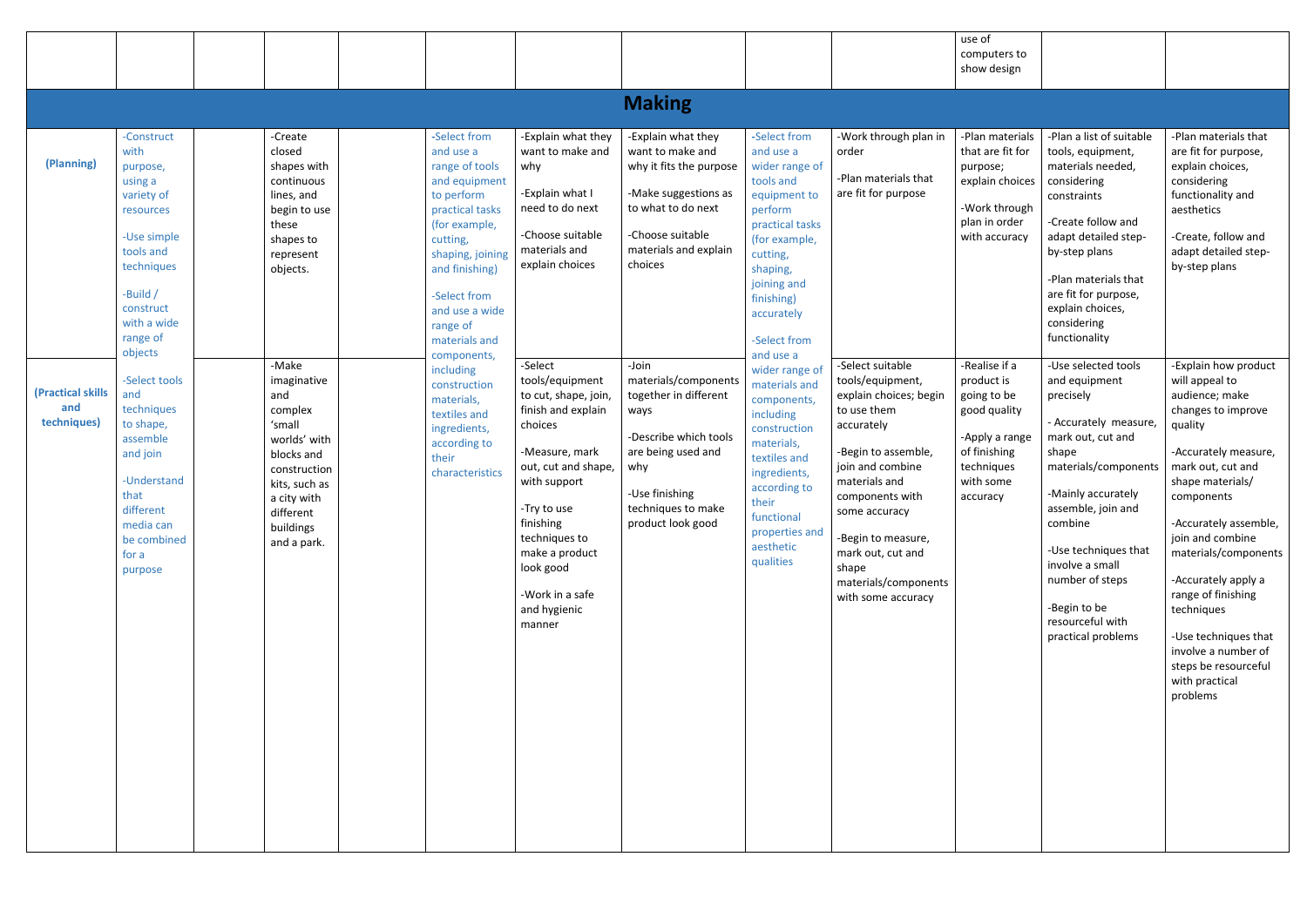|                                                       |                                                                                                                                                                                                                                                                                                                                              |                                                                                                                                                                                                                                                                                                        |                                                                                                                                                                                                                                                                                                                                                                       |                                                                                                                                                                                                                                                                                                                                                                                                                      |                                                                                                                                                                                                                                                                                                                                                              |                                                                                                                                                                                                                                                                                                                                                                                                                                         |                                                                                                                                                                                                                                                                                                                                                                                | use of<br>computers to<br>show design                                                                                                                                                                                                                        |                                                                                                                                                                                                                                                                                                                                                                                                                                                                                                                                                                                        |                                                                                                                                                                                                                                                                                                                                                                                                                                                                                                                                                                                                     |
|-------------------------------------------------------|----------------------------------------------------------------------------------------------------------------------------------------------------------------------------------------------------------------------------------------------------------------------------------------------------------------------------------------------|--------------------------------------------------------------------------------------------------------------------------------------------------------------------------------------------------------------------------------------------------------------------------------------------------------|-----------------------------------------------------------------------------------------------------------------------------------------------------------------------------------------------------------------------------------------------------------------------------------------------------------------------------------------------------------------------|----------------------------------------------------------------------------------------------------------------------------------------------------------------------------------------------------------------------------------------------------------------------------------------------------------------------------------------------------------------------------------------------------------------------|--------------------------------------------------------------------------------------------------------------------------------------------------------------------------------------------------------------------------------------------------------------------------------------------------------------------------------------------------------------|-----------------------------------------------------------------------------------------------------------------------------------------------------------------------------------------------------------------------------------------------------------------------------------------------------------------------------------------------------------------------------------------------------------------------------------------|--------------------------------------------------------------------------------------------------------------------------------------------------------------------------------------------------------------------------------------------------------------------------------------------------------------------------------------------------------------------------------|--------------------------------------------------------------------------------------------------------------------------------------------------------------------------------------------------------------------------------------------------------------|----------------------------------------------------------------------------------------------------------------------------------------------------------------------------------------------------------------------------------------------------------------------------------------------------------------------------------------------------------------------------------------------------------------------------------------------------------------------------------------------------------------------------------------------------------------------------------------|-----------------------------------------------------------------------------------------------------------------------------------------------------------------------------------------------------------------------------------------------------------------------------------------------------------------------------------------------------------------------------------------------------------------------------------------------------------------------------------------------------------------------------------------------------------------------------------------------------|
|                                                       |                                                                                                                                                                                                                                                                                                                                              |                                                                                                                                                                                                                                                                                                        |                                                                                                                                                                                                                                                                                                                                                                       |                                                                                                                                                                                                                                                                                                                                                                                                                      | <b>Making</b>                                                                                                                                                                                                                                                                                                                                                |                                                                                                                                                                                                                                                                                                                                                                                                                                         |                                                                                                                                                                                                                                                                                                                                                                                |                                                                                                                                                                                                                                                              |                                                                                                                                                                                                                                                                                                                                                                                                                                                                                                                                                                                        |                                                                                                                                                                                                                                                                                                                                                                                                                                                                                                                                                                                                     |
| (Planning)<br>(Practical skills<br>and<br>techniques) | -Construct<br>with<br>purpose,<br>using a<br>variety of<br>resources<br>-Use simple<br>tools and<br>techniques<br>-Build /<br>construct<br>with a wide<br>range of<br>objects<br>-Select tools<br>and<br>techniques<br>to shape,<br>assemble<br>and join<br>-Understand<br>that<br>different<br>media can<br>be combined<br>for a<br>purpose | -Create<br>closed<br>shapes with<br>continuous<br>lines, and<br>begin to use<br>these<br>shapes to<br>represent<br>objects.<br>-Make<br>imaginative<br>and<br>complex<br>'small<br>worlds' with<br>blocks and<br>construction<br>kits, such as<br>a city with<br>different<br>buildings<br>and a park. | -Select from<br>and use a<br>range of tools<br>and equipment<br>to perform<br>practical tasks<br>(for example,<br>cutting,<br>shaping, joining<br>and finishing)<br>-Select from<br>and use a wide<br>range of<br>materials and<br>components,<br>including<br>construction<br>materials,<br>textiles and<br>ingredients,<br>according to<br>their<br>characteristics | -Explain what they<br>want to make and<br>why<br>-Explain what I<br>need to do next<br>-Choose suitable<br>materials and<br>explain choices<br>-Select<br>tools/equipment<br>to cut, shape, join,<br>finish and explain<br>choices<br>-Measure, mark<br>out, cut and shape,<br>with support<br>-Try to use<br>finishing<br>techniques to<br>make a product<br>look good<br>-Work in a safe<br>and hygienic<br>manner | -Explain what they<br>want to make and<br>why it fits the purpose<br>-Make suggestions as<br>to what to do next<br>-Choose suitable<br>materials and explain<br>choices<br>-Join<br>materials/components<br>together in different<br>ways<br>-Describe which tools<br>are being used and<br>why<br>-Use finishing<br>techniques to make<br>product look good | -Select from<br>and use a<br>wider range of<br>tools and<br>equipment to<br>perform<br>practical tasks<br>(for example,<br>cutting,<br>shaping,<br>joining and<br>finishing)<br>accurately<br>-Select from<br>and use a<br>wider range of<br>materials and<br>components,<br>including<br>construction<br>materials,<br>textiles and<br>ingredients,<br>according to<br>their<br>functional<br>properties and<br>aesthetic<br>qualities | -Work through plan in<br>order<br>-Plan materials that<br>are fit for purpose<br>-Select suitable<br>tools/equipment,<br>explain choices; begin<br>to use them<br>accurately<br>-Begin to assemble,<br>join and combine<br>materials and<br>components with<br>some accuracy<br>-Begin to measure,<br>mark out, cut and<br>shape<br>materials/components<br>with some accuracy | -Plan materials<br>that are fit for<br>purpose;<br>explain choices<br>-Work through<br>plan in order<br>with accuracy<br>-Realise if a<br>product is<br>going to be<br>good quality<br>-Apply a range<br>of finishing<br>techniques<br>with some<br>accuracy | -Plan a list of suitable<br>tools, equipment,<br>materials needed,<br>considering<br>constraints<br>-Create follow and<br>adapt detailed step-<br>by-step plans<br>-Plan materials that<br>are fit for purpose,<br>explain choices,<br>considering<br>functionality<br>-Use selected tools<br>and equipment<br>precisely<br>- Accurately measure,<br>mark out, cut and<br>shape<br>materials/components<br>-Mainly accurately<br>assemble, join and<br>combine<br>-Use techniques that<br>involve a small<br>number of steps<br>-Begin to be<br>resourceful with<br>practical problems | -Plan materials that<br>are fit for purpose,<br>explain choices,<br>considering<br>functionality and<br>aesthetics<br>-Create, follow and<br>adapt detailed step-<br>by-step plans<br>-Explain how product<br>will appeal to<br>audience; make<br>changes to improve<br>quality<br>-Accurately measure,<br>mark out, cut and<br>shape materials/<br>components<br>-Accurately assemble,<br>join and combine<br>materials/components<br>-Accurately apply a<br>range of finishing<br>techniques<br>-Use techniques that<br>involve a number of<br>steps be resourceful<br>with practical<br>problems |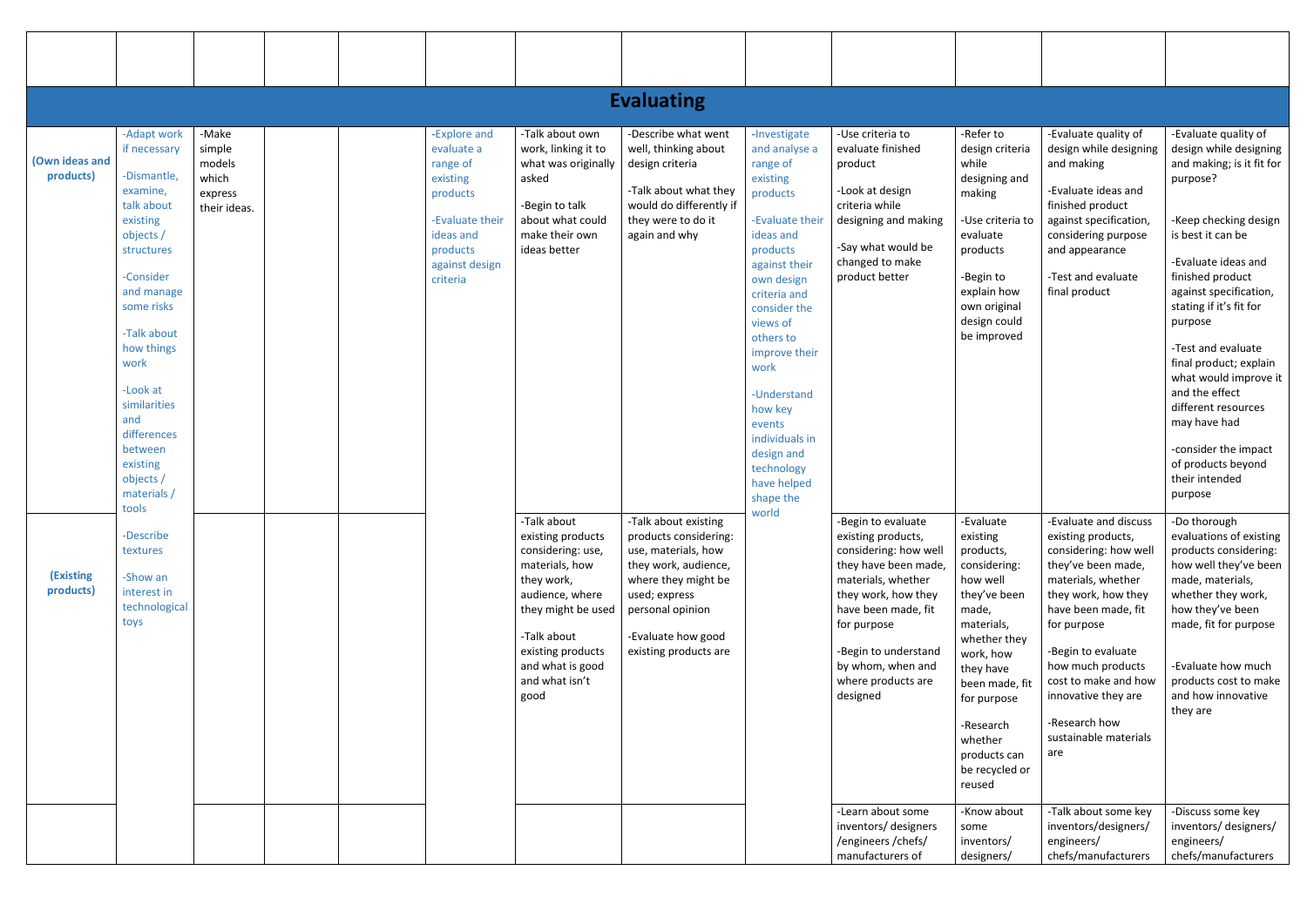|                             |                                                                                                                                                                                                                                                                                                         |                                                               |                                                                                                                                          |                                                                                                                                                                                                                  | <b>Evaluating</b>                                                                                                                                                                                       |                                                                                                                                                                                                                                                                                                                                                       |                                                                                                                                                                                                                                                                                  |                                                                                                                                                                                                                                                                     |                                                                                                                                                                                                                                                                                                                                                  |                                                                                                                                                                                                                                                                                                                                                                                                                                                               |
|-----------------------------|---------------------------------------------------------------------------------------------------------------------------------------------------------------------------------------------------------------------------------------------------------------------------------------------------------|---------------------------------------------------------------|------------------------------------------------------------------------------------------------------------------------------------------|------------------------------------------------------------------------------------------------------------------------------------------------------------------------------------------------------------------|---------------------------------------------------------------------------------------------------------------------------------------------------------------------------------------------------------|-------------------------------------------------------------------------------------------------------------------------------------------------------------------------------------------------------------------------------------------------------------------------------------------------------------------------------------------------------|----------------------------------------------------------------------------------------------------------------------------------------------------------------------------------------------------------------------------------------------------------------------------------|---------------------------------------------------------------------------------------------------------------------------------------------------------------------------------------------------------------------------------------------------------------------|--------------------------------------------------------------------------------------------------------------------------------------------------------------------------------------------------------------------------------------------------------------------------------------------------------------------------------------------------|---------------------------------------------------------------------------------------------------------------------------------------------------------------------------------------------------------------------------------------------------------------------------------------------------------------------------------------------------------------------------------------------------------------------------------------------------------------|
| (Own ideas and<br>products) | -Adapt work<br>if necessary<br>-Dismantle,<br>examine,<br>talk about<br>existing<br>objects /<br>structures<br>-Consider<br>and manage<br>some risks<br>-Talk about<br>how things<br>work<br>-Look at<br>similarities<br>and<br>differences<br>between<br>existing<br>objects /<br>materials /<br>tools | -Make<br>simple<br>models<br>which<br>express<br>their ideas. | -Explore and<br>evaluate a<br>range of<br>existing<br>products<br>-Evaluate their<br>ideas and<br>products<br>against design<br>criteria | -Talk about own<br>work, linking it to<br>what was originally<br>asked<br>-Begin to talk<br>about what could<br>make their own<br>ideas better                                                                   | -Describe what went<br>well, thinking about<br>design criteria<br>-Talk about what they<br>would do differently if<br>they were to do it<br>again and why                                               | -Investigate<br>and analyse a<br>range of<br>existing<br>products<br>-Evaluate their<br>ideas and<br>products<br>against their<br>own design<br>criteria and<br>consider the<br>views of<br>others to<br>improve their<br>work<br>-Understand<br>how key<br>events<br>individuals in<br>design and<br>technology<br>have helped<br>shape the<br>world | -Use criteria to<br>evaluate finished<br>product<br>-Look at design<br>criteria while<br>designing and making<br>-Say what would be<br>changed to make<br>product better                                                                                                         | -Refer to<br>design criteria<br>while<br>designing and<br>making<br>-Use criteria to<br>evaluate<br>products<br>-Begin to<br>explain how<br>own original<br>design could<br>be improved                                                                             | -Evaluate quality of<br>design while designing<br>and making<br>-Evaluate ideas and<br>finished product<br>against specification,<br>considering purpose<br>and appearance<br>-Test and evaluate<br>final product                                                                                                                                | -Evaluate quality of<br>design while designing<br>and making; is it fit for<br>purpose?<br>-Keep checking design<br>is best it can be<br>-Evaluate ideas and<br>finished product<br>against specification,<br>stating if it's fit for<br>purpose<br>-Test and evaluate<br>final product; explain<br>what would improve it<br>and the effect<br>different resources<br>may have had<br>-consider the impact<br>of products beyond<br>their intended<br>purpose |
| (Existing<br>products)      | -Describe<br>textures<br>-Show an<br>interest in<br>technological<br>toys                                                                                                                                                                                                                               |                                                               |                                                                                                                                          | -Talk about<br>existing products<br>considering: use,<br>materials, how<br>they work,<br>audience, where<br>they might be used<br>-Talk about<br>existing products<br>and what is good<br>and what isn't<br>good | -Talk about existing<br>products considering:<br>use, materials, how<br>they work, audience,<br>where they might be<br>used; express<br>personal opinion<br>-Evaluate how good<br>existing products are |                                                                                                                                                                                                                                                                                                                                                       | -Begin to evaluate<br>existing products,<br>considering: how well<br>they have been made,<br>materials, whether<br>they work, how they<br>have been made, fit<br>for purpose<br>-Begin to understand<br>by whom, when and<br>where products are<br>designed<br>-Learn about some | -Evaluate<br>existing<br>products,<br>considering:<br>how well<br>they've been<br>made,<br>materials,<br>whether they<br>work, how<br>they have<br>been made, fit<br>for purpose<br>-Research<br>whether<br>products can<br>be recycled or<br>reused<br>-Know about | -Evaluate and discuss<br>existing products,<br>considering: how well<br>they've been made,<br>materials, whether<br>they work, how they<br>have been made, fit<br>for purpose<br>-Begin to evaluate<br>how much products<br>cost to make and how<br>innovative they are<br>-Research how<br>sustainable materials<br>are<br>-Talk about some key | -Do thorough<br>evaluations of existing<br>products considering:<br>how well they've been<br>made, materials,<br>whether they work,<br>how they've been<br>made, fit for purpose<br>-Evaluate how much<br>products cost to make<br>and how innovative<br>they are<br>-Discuss some key                                                                                                                                                                        |
|                             |                                                                                                                                                                                                                                                                                                         |                                                               |                                                                                                                                          |                                                                                                                                                                                                                  |                                                                                                                                                                                                         |                                                                                                                                                                                                                                                                                                                                                       | inventors/ designers<br>/engineers/chefs/<br>manufacturers of                                                                                                                                                                                                                    | some<br>inventors/<br>designers/                                                                                                                                                                                                                                    | inventors/designers/<br>engineers/<br>chefs/manufacturers                                                                                                                                                                                                                                                                                        | inventors/designers/<br>engineers/<br>chefs/manufacturers                                                                                                                                                                                                                                                                                                                                                                                                     |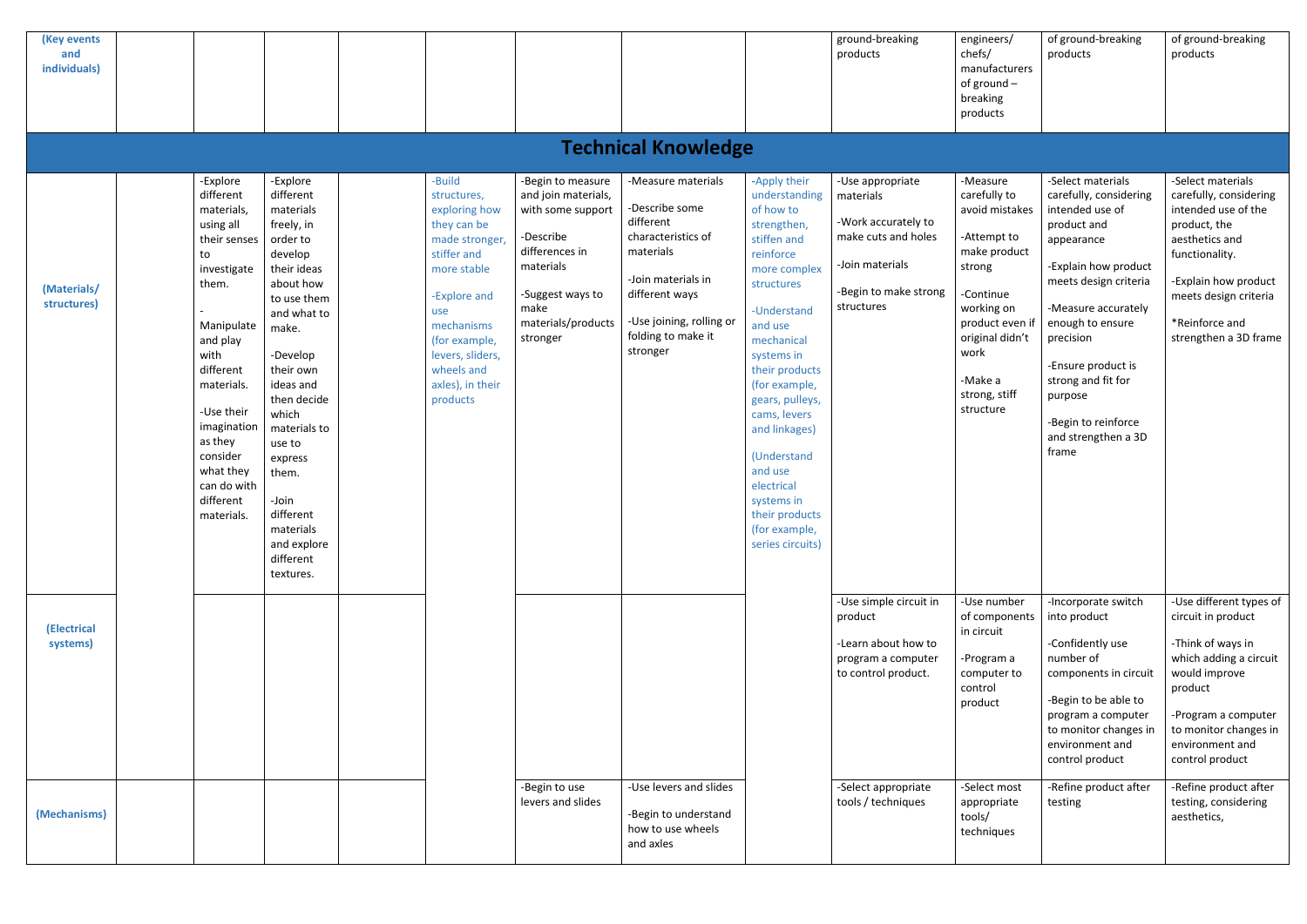| (Key events<br>and<br>individuals) |  |                                                                                                                                                                                                                                                                        |                                                                                                                                                                                                                                                                                                                                    |                                                                                                                                                                                                                              |                                                                                                                                                                         |                                                                                                                                                                                            |                                                                                                                                                                                                                                                                                                                                                                               | ground-breaking<br>products                                                                                                           | engineers/<br>chefs/<br>manufacturers<br>of ground $-$<br>breaking<br>products                                                                                                                        | of ground-breaking<br>products                                                                                                                                                                                                                                                                                     | of ground-breaking<br>products                                                                                                                                                                                     |  |  |
|------------------------------------|--|------------------------------------------------------------------------------------------------------------------------------------------------------------------------------------------------------------------------------------------------------------------------|------------------------------------------------------------------------------------------------------------------------------------------------------------------------------------------------------------------------------------------------------------------------------------------------------------------------------------|------------------------------------------------------------------------------------------------------------------------------------------------------------------------------------------------------------------------------|-------------------------------------------------------------------------------------------------------------------------------------------------------------------------|--------------------------------------------------------------------------------------------------------------------------------------------------------------------------------------------|-------------------------------------------------------------------------------------------------------------------------------------------------------------------------------------------------------------------------------------------------------------------------------------------------------------------------------------------------------------------------------|---------------------------------------------------------------------------------------------------------------------------------------|-------------------------------------------------------------------------------------------------------------------------------------------------------------------------------------------------------|--------------------------------------------------------------------------------------------------------------------------------------------------------------------------------------------------------------------------------------------------------------------------------------------------------------------|--------------------------------------------------------------------------------------------------------------------------------------------------------------------------------------------------------------------|--|--|
| <b>Technical Knowledge</b>         |  |                                                                                                                                                                                                                                                                        |                                                                                                                                                                                                                                                                                                                                    |                                                                                                                                                                                                                              |                                                                                                                                                                         |                                                                                                                                                                                            |                                                                                                                                                                                                                                                                                                                                                                               |                                                                                                                                       |                                                                                                                                                                                                       |                                                                                                                                                                                                                                                                                                                    |                                                                                                                                                                                                                    |  |  |
| (Materials/<br>structures)         |  | -Explore<br>different<br>materials,<br>using all<br>their senses<br>to<br>investigate<br>them.<br>Manipulate<br>and play<br>with<br>different<br>materials.<br>-Use their<br>imagination<br>as they<br>consider<br>what they<br>can do with<br>different<br>materials. | -Explore<br>different<br>materials<br>freely, in<br>order to<br>develop<br>their ideas<br>about how<br>to use them<br>and what to<br>make.<br>-Develop<br>their own<br>ideas and<br>then decide<br>which<br>materials to<br>use to<br>express<br>them.<br>-Join<br>different<br>materials<br>and explore<br>different<br>textures. | -Build<br>structures,<br>exploring how<br>they can be<br>made stronger<br>stiffer and<br>more stable<br>-Explore and<br>use<br>mechanisms<br>(for example,<br>levers, sliders,<br>wheels and<br>axles), in their<br>products | -Begin to measure<br>and join materials,<br>with some support<br>-Describe<br>differences in<br>materials<br>-Suggest ways to<br>make<br>materials/products<br>stronger | -Measure materials<br>-Describe some<br>different<br>characteristics of<br>materials<br>-Join materials in<br>different ways<br>-Use joining, rolling or<br>folding to make it<br>stronger | -Apply their<br>understanding<br>of how to<br>strengthen,<br>stiffen and<br>reinforce<br>more complex<br>structures<br>-Understand<br>and use<br>mechanical<br>systems in<br>their products<br>(for example,<br>gears, pulleys,<br>cams, levers<br>and linkages)<br>(Understand<br>and use<br>electrical<br>systems in<br>their products<br>(for example,<br>series circuits) | -Use appropriate<br>materials<br>-Work accurately to<br>make cuts and holes<br>-Join materials<br>-Begin to make strong<br>structures | -Measure<br>carefully to<br>avoid mistakes<br>-Attempt to<br>make product<br>strong<br>-Continue<br>working on<br>product even if<br>original didn't<br>work<br>-Make a<br>strong, stiff<br>structure | -Select materials<br>carefully, considering<br>intended use of<br>product and<br>appearance<br>-Explain how product<br>meets design criteria<br>-Measure accurately<br>enough to ensure<br>precision<br>-Ensure product is<br>strong and fit for<br>purpose<br>-Begin to reinforce<br>and strengthen a 3D<br>frame | -Select materials<br>carefully, considering<br>intended use of the<br>product, the<br>aesthetics and<br>functionality.<br>-Explain how product<br>meets design criteria<br>*Reinforce and<br>strengthen a 3D frame |  |  |
| (Electrical<br>systems)            |  |                                                                                                                                                                                                                                                                        |                                                                                                                                                                                                                                                                                                                                    |                                                                                                                                                                                                                              |                                                                                                                                                                         |                                                                                                                                                                                            |                                                                                                                                                                                                                                                                                                                                                                               | -Use simple circuit in<br>product<br>-Learn about how to<br>program a computer<br>to control product.                                 | -Use number<br>of components<br>in circuit<br>-Program a<br>computer to<br>control<br>product                                                                                                         | -Incorporate switch<br>into product<br>-Confidently use<br>number of<br>components in circuit<br>-Begin to be able to<br>program a computer<br>to monitor changes in<br>environment and<br>control product                                                                                                         | -Use different types of<br>circuit in product<br>-Think of ways in<br>which adding a circuit<br>would improve<br>product<br>-Program a computer<br>to monitor changes in<br>environment and<br>control product     |  |  |
| (Mechanisms)                       |  |                                                                                                                                                                                                                                                                        |                                                                                                                                                                                                                                                                                                                                    |                                                                                                                                                                                                                              | -Begin to use<br>levers and slides                                                                                                                                      | -Use levers and slides<br>-Begin to understand<br>how to use wheels<br>and axles                                                                                                           |                                                                                                                                                                                                                                                                                                                                                                               | -Select appropriate<br>tools / techniques                                                                                             | -Select most<br>appropriate<br>tools/<br>techniques                                                                                                                                                   | -Refine product after<br>testing                                                                                                                                                                                                                                                                                   | -Refine product after<br>testing, considering<br>aesthetics,                                                                                                                                                       |  |  |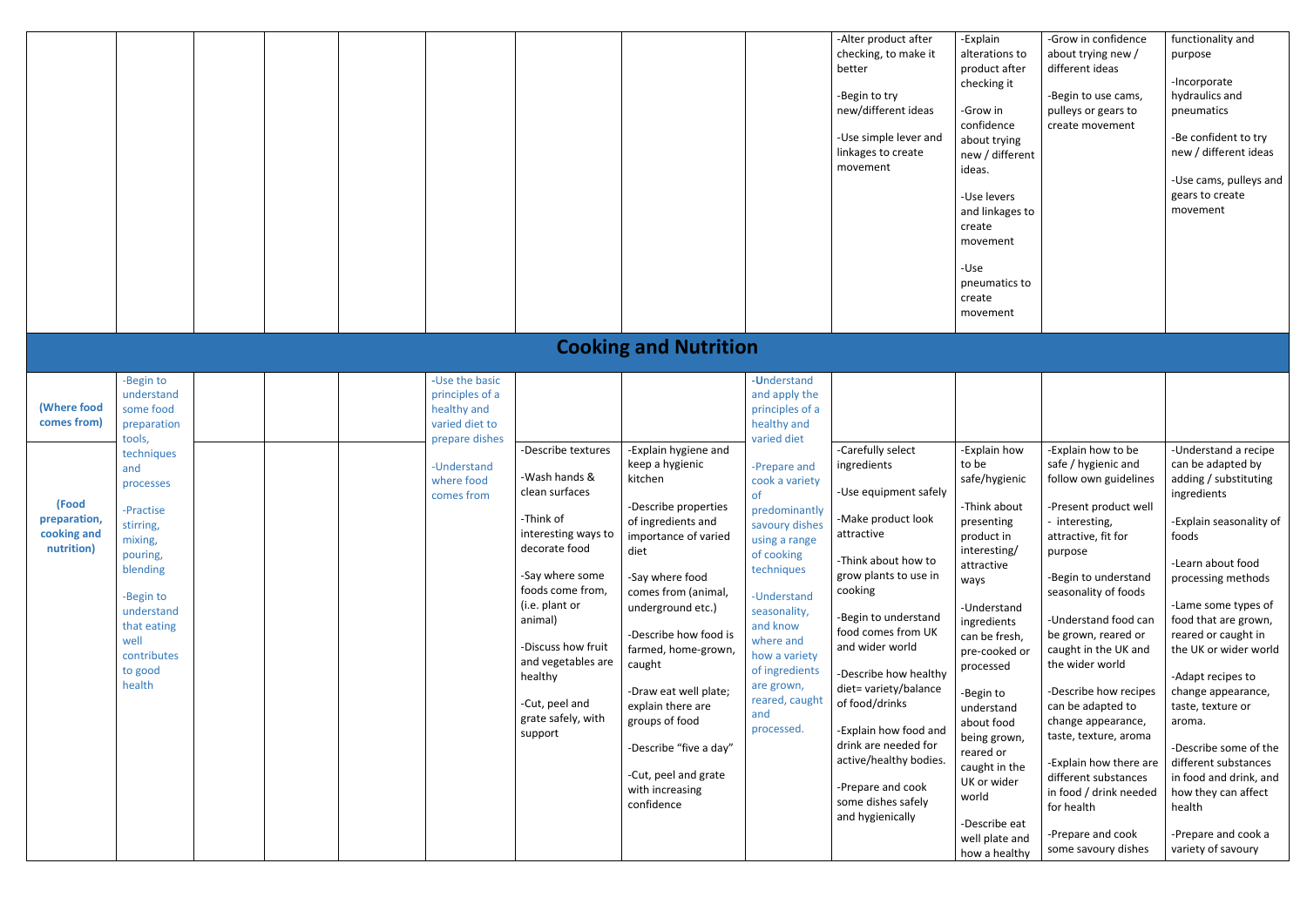|                                                                                  |                                                                                                                                                                                                                                                    |  |                                                                                                                                 |                                                                                                                                                                                                                                                                                          |                                                                                                                                                                                                                                                                                                                                                                                                              |                                                                                                                                                                                                                                                                                                                                                       | -Alter product after<br>checking, to make it<br>better<br>-Begin to try<br>new/different ideas<br>-Use simple lever and<br>linkages to create<br>movement                                                                                                                                                                                                                                                                               | -Explain<br>alterations<br>product aft<br>checking it<br>-Grow in<br>confidence<br>about tryin<br>new / diffe<br>ideas.<br>-Use levers<br>and linkage<br>create<br>movement<br>-Use<br>pneumatics<br>create<br>movement                                                                                                                            |
|----------------------------------------------------------------------------------|----------------------------------------------------------------------------------------------------------------------------------------------------------------------------------------------------------------------------------------------------|--|---------------------------------------------------------------------------------------------------------------------------------|------------------------------------------------------------------------------------------------------------------------------------------------------------------------------------------------------------------------------------------------------------------------------------------|--------------------------------------------------------------------------------------------------------------------------------------------------------------------------------------------------------------------------------------------------------------------------------------------------------------------------------------------------------------------------------------------------------------|-------------------------------------------------------------------------------------------------------------------------------------------------------------------------------------------------------------------------------------------------------------------------------------------------------------------------------------------------------|-----------------------------------------------------------------------------------------------------------------------------------------------------------------------------------------------------------------------------------------------------------------------------------------------------------------------------------------------------------------------------------------------------------------------------------------|----------------------------------------------------------------------------------------------------------------------------------------------------------------------------------------------------------------------------------------------------------------------------------------------------------------------------------------------------|
|                                                                                  |                                                                                                                                                                                                                                                    |  |                                                                                                                                 |                                                                                                                                                                                                                                                                                          | <b>Cooking and Nutrition</b>                                                                                                                                                                                                                                                                                                                                                                                 |                                                                                                                                                                                                                                                                                                                                                       |                                                                                                                                                                                                                                                                                                                                                                                                                                         |                                                                                                                                                                                                                                                                                                                                                    |
| (Where food<br>comes from)<br>(Food<br>preparation,<br>cooking and<br>nutrition) | -Begin to<br>understand<br>some food<br>preparation<br>tools,<br>techniques<br>and<br>processes<br>-Practise<br>stirring,<br>mixing,<br>pouring,<br>blending<br>-Begin to<br>understand<br>that eating<br>well<br>contributes<br>to good<br>health |  | -Use the basic<br>principles of a<br>healthy and<br>varied diet to<br>prepare dishes<br>-Understand<br>where food<br>comes from | -Describe textures<br>-Wash hands &<br>clean surfaces<br>-Think of<br>interesting ways to<br>decorate food<br>-Say where some<br>foods come from,<br>(i.e. plant or<br>animal)<br>-Discuss how fruit<br>and vegetables are<br>healthy<br>-Cut, peel and<br>grate safely, with<br>support | -Explain hygiene and<br>keep a hygienic<br>kitchen<br>-Describe properties<br>of ingredients and<br>importance of varied<br>diet<br>-Say where food<br>comes from (animal,<br>underground etc.)<br>-Describe how food is<br>farmed, home-grown,<br>caught<br>-Draw eat well plate;<br>explain there are<br>groups of food<br>-Describe "five a day"<br>-Cut, peel and grate<br>with increasing<br>confidence | -Understand<br>and apply the<br>principles of a<br>healthy and<br>varied diet<br>-Prepare and<br>cook a variety<br>of<br>predominantly<br>savoury dishes<br>using a range<br>of cooking<br>techniques<br>-Understand<br>seasonality,<br>and know<br>where and<br>how a variety<br>of ingredients<br>are grown,<br>reared, caught<br>and<br>processed. | -Carefully select<br>ingredients<br>-Use equipment safely<br>-Make product look<br>attractive<br>-Think about how to<br>grow plants to use in<br>cooking<br>-Begin to understand<br>food comes from UK<br>and wider world<br>-Describe how healthy<br>diet= variety/balance<br>of food/drinks<br>-Explain how food and<br>drink are needed for<br>active/healthy bodies.<br>-Prepare and cook<br>some dishes safely<br>and hygienically | -Explain ho<br>to be<br>safe/hygier<br>-Think abor<br>presenting<br>product in<br>interesting<br>attractive<br>ways<br>-Understan<br>ingredients<br>can be fres<br>pre-cooked<br>processed<br>-Begin to<br>understand<br>about food<br>being grow<br>reared or<br>caught in tl<br>UK or wide<br>world<br>-Describe e<br>well plate a<br>how a heal |

| -Explain<br>alterations to<br>product after<br>checking it<br>-Grow in<br>confidence<br>about trying<br>new / different<br>ideas.<br>-Use levers<br>and linkages to<br>create<br>movement<br>-Use<br>pneumatics to<br>create<br>movement | -Grow in confidence<br>about trying new /<br>different ideas<br>-Begin to use cams,<br>pulleys or gears to<br>create movement | functionality and<br>purpose<br>-Incorporate<br>hydraulics and<br>pneumatics<br>-Be confident to try<br>new / different ideas<br>-Use cams, pulleys and<br>gears to create<br>movement |
|------------------------------------------------------------------------------------------------------------------------------------------------------------------------------------------------------------------------------------------|-------------------------------------------------------------------------------------------------------------------------------|----------------------------------------------------------------------------------------------------------------------------------------------------------------------------------------|
|                                                                                                                                                                                                                                          |                                                                                                                               |                                                                                                                                                                                        |
| -Explain how                                                                                                                                                                                                                             | -Explain how to be                                                                                                            | -Understand a recipe                                                                                                                                                                   |
| to be<br>safe/hygienic                                                                                                                                                                                                                   | safe / hygienic and<br>follow own guidelines                                                                                  | can be adapted by<br>adding / substituting<br>ingredients                                                                                                                              |
| -Think about<br>presenting<br>product in<br>interesting/                                                                                                                                                                                 | -Present product well<br>interesting,<br>attractive, fit for<br>purpose                                                       | -Explain seasonality of<br>foods                                                                                                                                                       |
| attractive<br>ways                                                                                                                                                                                                                       | -Begin to understand<br>seasonality of foods                                                                                  | -Learn about food<br>processing methods                                                                                                                                                |
| -Understand<br>ingredients<br>can be fresh,<br>pre-cooked or<br>processed                                                                                                                                                                | -Understand food can<br>be grown, reared or<br>caught in the UK and<br>the wider world                                        | -Lame some types of<br>food that are grown,<br>reared or caught in<br>the UK or wider world                                                                                            |
| -Begin to<br>understand<br>about food<br>being grown,                                                                                                                                                                                    | -Describe how recipes<br>can be adapted to<br>change appearance,<br>taste, texture, aroma                                     | -Adapt recipes to<br>change appearance,<br>taste, texture or<br>aroma.                                                                                                                 |
| reared or<br>caught in the<br>UK or wider<br>world                                                                                                                                                                                       | -Explain how there are<br>different substances<br>in food / drink needed<br>for health                                        | -Describe some of the<br>different substances<br>in food and drink, and<br>how they can affect<br>health                                                                               |
| -Describe eat<br>well plate and<br>how a healthy                                                                                                                                                                                         | -Prepare and cook<br>some savoury dishes                                                                                      | -Prepare and cook a<br>variety of savoury                                                                                                                                              |